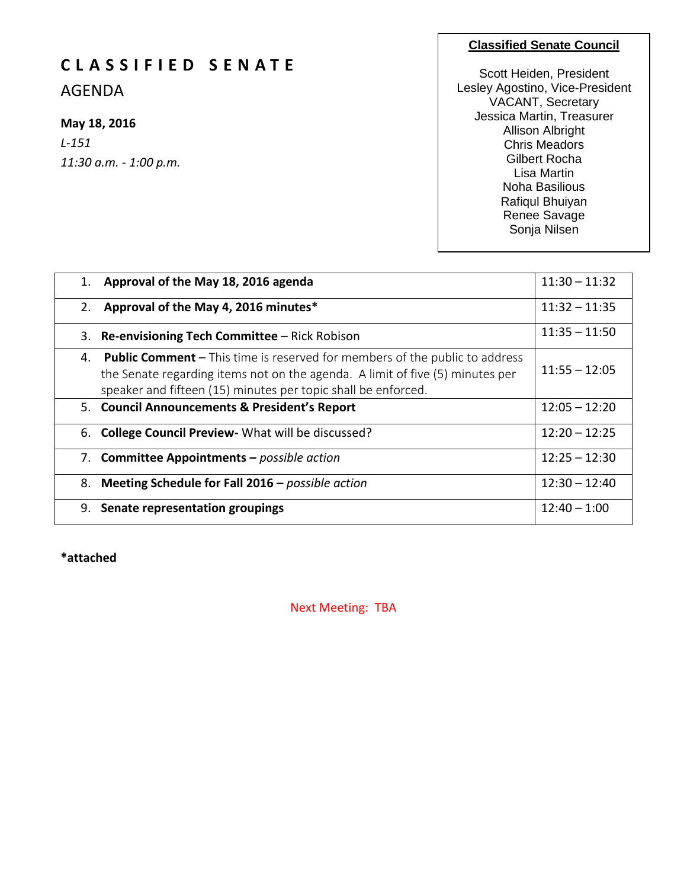# **C L A S S I F I E D S E N A T E**

AGENDA

## **May 18, 2016**

*L-151 11:30 a.m. - 1:00 p.m.*

#### **Classified Senate Council**

Scott Heiden, President Lesley Agostino, Vice-President VACANT, Secretary Jessica Martin, Treasurer Allison Albright Chris Meadors Gilbert Rocha Lisa Martin Noha Basilious Rafiqul Bhuiyan Renee Savage Sonja Nilsen

| 1. | Approval of the May 18, 2016 agenda                                                                                                                                                                                                  | $11:30 - 11:32$ |
|----|--------------------------------------------------------------------------------------------------------------------------------------------------------------------------------------------------------------------------------------|-----------------|
| 2. | Approval of the May 4, 2016 minutes*                                                                                                                                                                                                 | $11:32 - 11:35$ |
|    | 3. Re-envisioning Tech Committee - Rick Robison                                                                                                                                                                                      | $11:35 - 11:50$ |
| 4. | <b>Public Comment</b> – This time is reserved for members of the public to address<br>the Senate regarding items not on the agenda. A limit of five (5) minutes per<br>speaker and fifteen (15) minutes per topic shall be enforced. | $11:55 - 12:05$ |
|    | 5. Council Announcements & President's Report                                                                                                                                                                                        | $12:05 - 12:20$ |
|    | 6. College Council Preview - What will be discussed?                                                                                                                                                                                 | $12:20 - 12:25$ |
|    | 7. Committee Appointments - possible action                                                                                                                                                                                          | $12:25 - 12:30$ |
|    | 8. Meeting Schedule for Fall 2016 - possible action                                                                                                                                                                                  | $12:30 - 12:40$ |
|    | 9. Senate representation groupings                                                                                                                                                                                                   | $12:40 - 1:00$  |

**\*attached**

Next Meeting: TBA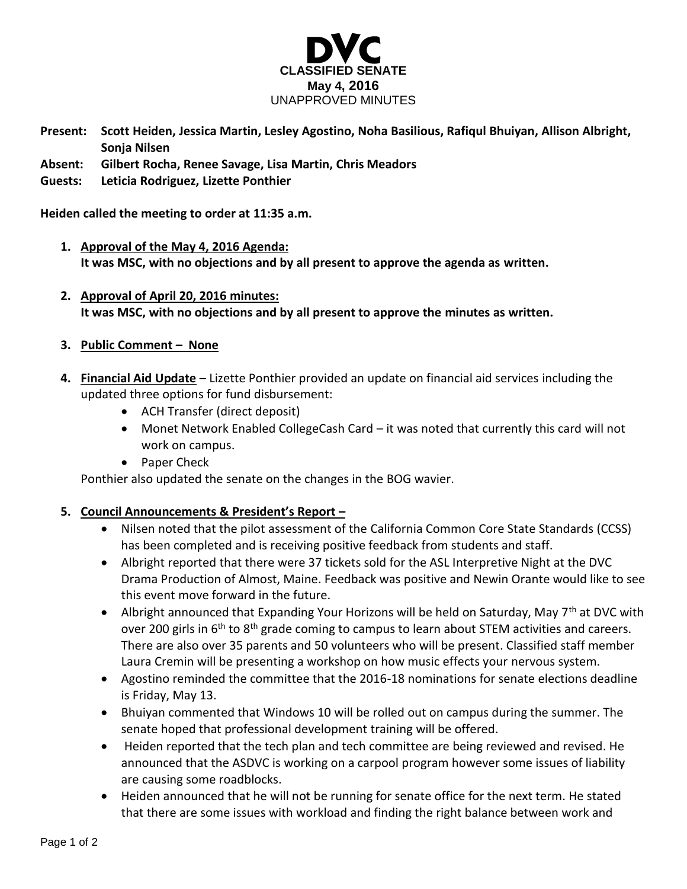

- **Present: Scott Heiden, Jessica Martin, Lesley Agostino, Noha Basilious, Rafiqul Bhuiyan, Allison Albright, Sonja Nilsen**
- **Absent: Gilbert Rocha, Renee Savage, Lisa Martin, Chris Meadors**
- **Guests: Leticia Rodriguez, Lizette Ponthier**

**Heiden called the meeting to order at 11:35 a.m.**

- **1. Approval of the May 4, 2016 Agenda: It was MSC, with no objections and by all present to approve the agenda as written.**
- **2. Approval of April 20, 2016 minutes: It was MSC, with no objections and by all present to approve the minutes as written.**
- **3. Public Comment – None**
- **4. Financial Aid Update** Lizette Ponthier provided an update on financial aid services including the updated three options for fund disbursement:
	- ACH Transfer (direct deposit)
	- Monet Network Enabled CollegeCash Card it was noted that currently this card will not work on campus.
	- Paper Check

Ponthier also updated the senate on the changes in the BOG wavier.

### **5. Council Announcements & President's Report –**

- Nilsen noted that the pilot assessment of the California Common Core State Standards (CCSS) has been completed and is receiving positive feedback from students and staff.
- Albright reported that there were 37 tickets sold for the ASL Interpretive Night at the DVC Drama Production of Almost, Maine. Feedback was positive and Newin Orante would like to see this event move forward in the future.
- Albright announced that Expanding Your Horizons will be held on Saturday, May 7<sup>th</sup> at DVC with over 200 girls in 6<sup>th</sup> to 8<sup>th</sup> grade coming to campus to learn about STEM activities and careers. There are also over 35 parents and 50 volunteers who will be present. Classified staff member Laura Cremin will be presenting a workshop on how music effects your nervous system.
- Agostino reminded the committee that the 2016-18 nominations for senate elections deadline is Friday, May 13.
- Bhuiyan commented that Windows 10 will be rolled out on campus during the summer. The senate hoped that professional development training will be offered.
- Heiden reported that the tech plan and tech committee are being reviewed and revised. He announced that the ASDVC is working on a carpool program however some issues of liability are causing some roadblocks.
- Heiden announced that he will not be running for senate office for the next term. He stated that there are some issues with workload and finding the right balance between work and